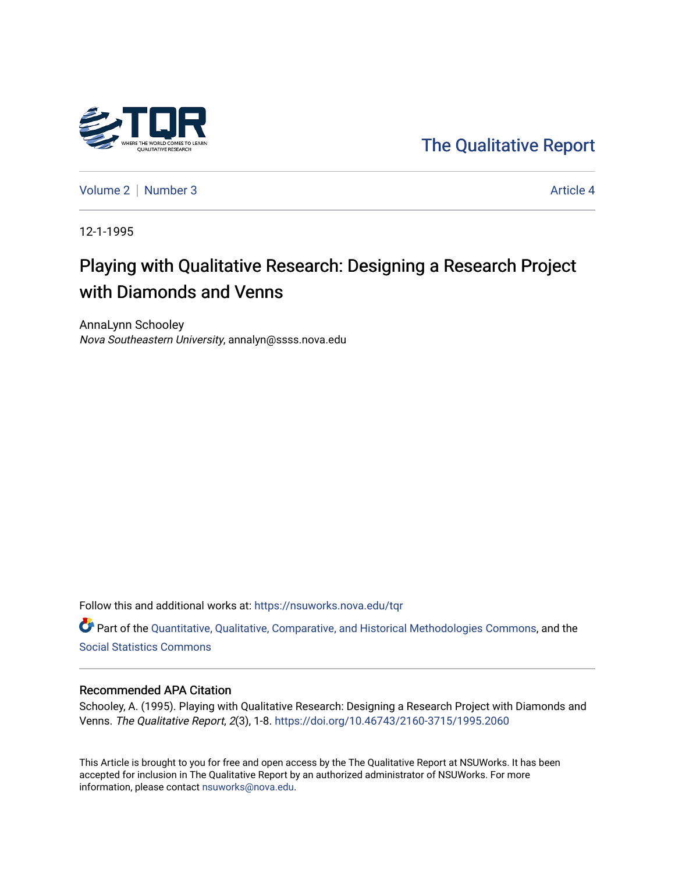

[The Qualitative Report](https://nsuworks.nova.edu/tqr) 

[Volume 2](https://nsuworks.nova.edu/tqr/vol2) | [Number 3](https://nsuworks.nova.edu/tqr/vol2/iss3) Article 4

12-1-1995

# Playing with Qualitative Research: Designing a Research Project with Diamonds and Venns

AnnaLynn Schooley Nova Southeastern University, annalyn@ssss.nova.edu

Follow this and additional works at: [https://nsuworks.nova.edu/tqr](https://nsuworks.nova.edu/tqr?utm_source=nsuworks.nova.edu%2Ftqr%2Fvol2%2Fiss3%2F4&utm_medium=PDF&utm_campaign=PDFCoverPages) 

Part of the [Quantitative, Qualitative, Comparative, and Historical Methodologies Commons,](http://network.bepress.com/hgg/discipline/423?utm_source=nsuworks.nova.edu%2Ftqr%2Fvol2%2Fiss3%2F4&utm_medium=PDF&utm_campaign=PDFCoverPages) and the [Social Statistics Commons](http://network.bepress.com/hgg/discipline/1275?utm_source=nsuworks.nova.edu%2Ftqr%2Fvol2%2Fiss3%2F4&utm_medium=PDF&utm_campaign=PDFCoverPages) 

#### Recommended APA Citation

Schooley, A. (1995). Playing with Qualitative Research: Designing a Research Project with Diamonds and Venns. The Qualitative Report, 2(3), 1-8.<https://doi.org/10.46743/2160-3715/1995.2060>

This Article is brought to you for free and open access by the The Qualitative Report at NSUWorks. It has been accepted for inclusion in The Qualitative Report by an authorized administrator of NSUWorks. For more information, please contact [nsuworks@nova.edu.](mailto:nsuworks@nova.edu)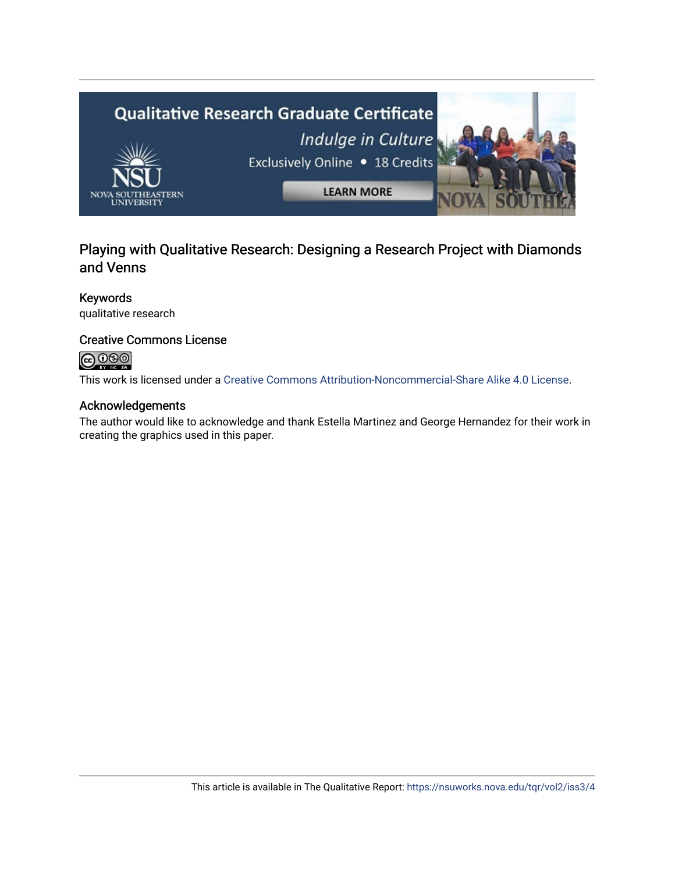

## Playing with Qualitative Research: Designing a Research Project with Diamonds and Venns

#### Keywords

qualitative research

### Creative Commons License

## **@**@@

This work is licensed under a [Creative Commons Attribution-Noncommercial-Share Alike 4.0 License](https://creativecommons.org/licenses/by-nc-sa/4.0/).

#### Acknowledgements

The author would like to acknowledge and thank Estella Martinez and George Hernandez for their work in creating the graphics used in this paper.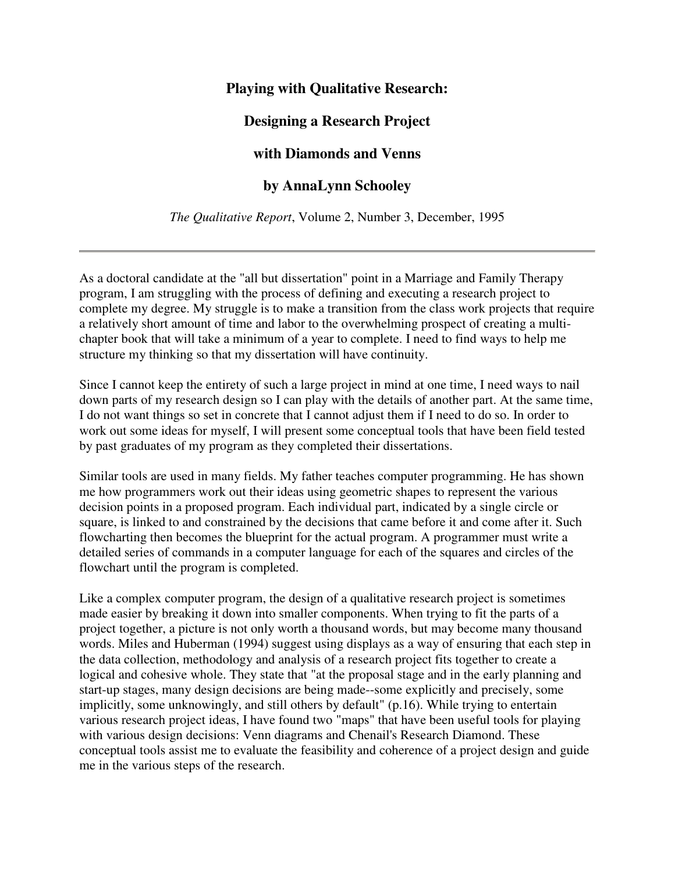## **Playing with Qualitative Research:**

## **Designing a Research Project**

## **with Diamonds and Venns**

## **by AnnaLynn Schooley**

*The Qualitative Report*, Volume 2, Number 3, December, 1995

As a doctoral candidate at the "all but dissertation" point in a Marriage and Family Therapy program, I am struggling with the process of defining and executing a research project to complete my degree. My struggle is to make a transition from the class work projects that require a relatively short amount of time and labor to the overwhelming prospect of creating a multichapter book that will take a minimum of a year to complete. I need to find ways to help me structure my thinking so that my dissertation will have continuity.

Since I cannot keep the entirety of such a large project in mind at one time, I need ways to nail down parts of my research design so I can play with the details of another part. At the same time, I do not want things so set in concrete that I cannot adjust them if I need to do so. In order to work out some ideas for myself, I will present some conceptual tools that have been field tested by past graduates of my program as they completed their dissertations.

Similar tools are used in many fields. My father teaches computer programming. He has shown me how programmers work out their ideas using geometric shapes to represent the various decision points in a proposed program. Each individual part, indicated by a single circle or square, is linked to and constrained by the decisions that came before it and come after it. Such flowcharting then becomes the blueprint for the actual program. A programmer must write a detailed series of commands in a computer language for each of the squares and circles of the flowchart until the program is completed.

Like a complex computer program, the design of a qualitative research project is sometimes made easier by breaking it down into smaller components. When trying to fit the parts of a project together, a picture is not only worth a thousand words, but may become many thousand words. Miles and Huberman (1994) suggest using displays as a way of ensuring that each step in the data collection, methodology and analysis of a research project fits together to create a logical and cohesive whole. They state that "at the proposal stage and in the early planning and start-up stages, many design decisions are being made--some explicitly and precisely, some implicitly, some unknowingly, and still others by default" (p.16). While trying to entertain various research project ideas, I have found two "maps" that have been useful tools for playing with various design decisions: Venn diagrams and Chenail's Research Diamond. These conceptual tools assist me to evaluate the feasibility and coherence of a project design and guide me in the various steps of the research.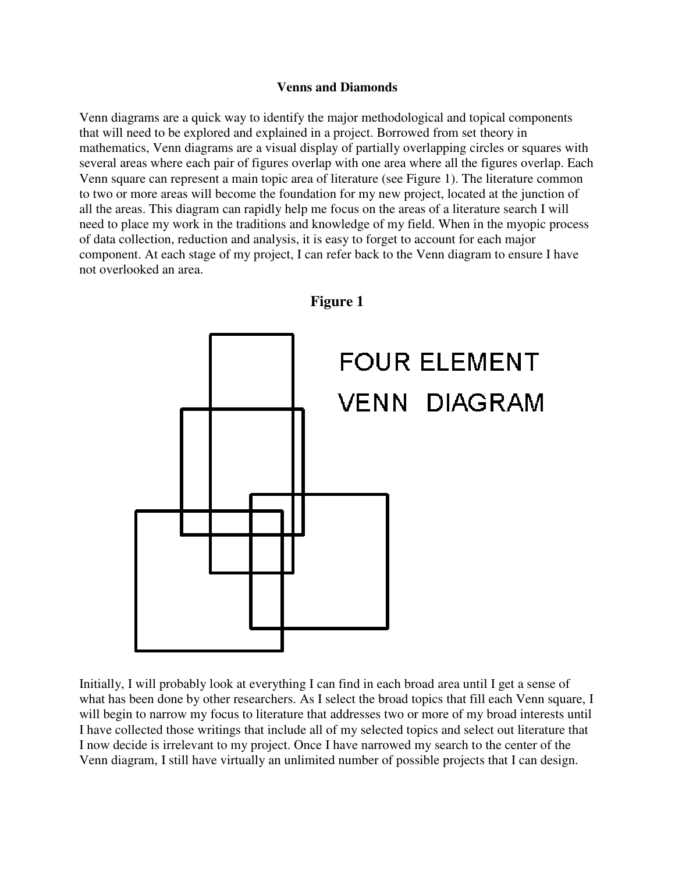#### **Venns and Diamonds**

Venn diagrams are a quick way to identify the major methodological and topical components that will need to be explored and explained in a project. Borrowed from set theory in mathematics, Venn diagrams are a visual display of partially overlapping circles or squares with several areas where each pair of figures overlap with one area where all the figures overlap. Each Venn square can represent a main topic area of literature (see Figure 1). The literature common to two or more areas will become the foundation for my new project, located at the junction of all the areas. This diagram can rapidly help me focus on the areas of a literature search I will need to place my work in the traditions and knowledge of my field. When in the myopic process of data collection, reduction and analysis, it is easy to forget to account for each major component. At each stage of my project, I can refer back to the Venn diagram to ensure I have not overlooked an area.



Initially, I will probably look at everything I can find in each broad area until I get a sense of what has been done by other researchers. As I select the broad topics that fill each Venn square, I will begin to narrow my focus to literature that addresses two or more of my broad interests until I have collected those writings that include all of my selected topics and select out literature that I now decide is irrelevant to my project. Once I have narrowed my search to the center of the Venn diagram, I still have virtually an unlimited number of possible projects that I can design.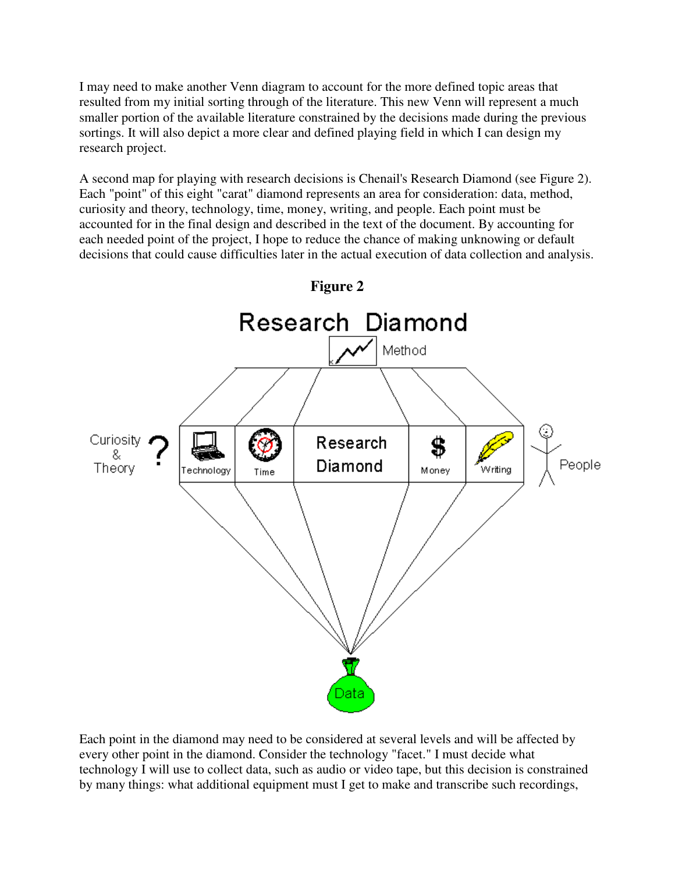I may need to make another Venn diagram to account for the more defined topic areas that resulted from my initial sorting through of the literature. This new Venn will represent a much smaller portion of the available literature constrained by the decisions made during the previous sortings. It will also depict a more clear and defined playing field in which I can design my research project.

A second map for playing with research decisions is Chenail's Research Diamond (see Figure 2). Each "point" of this eight "carat" diamond represents an area for consideration: data, method, curiosity and theory, technology, time, money, writing, and people. Each point must be accounted for in the final design and described in the text of the document. By accounting for each needed point of the project, I hope to reduce the chance of making unknowing or default decisions that could cause difficulties later in the actual execution of data collection and analysis.



**Figure 2** 

Each point in the diamond may need to be considered at several levels and will be affected by every other point in the diamond. Consider the technology "facet." I must decide what technology I will use to collect data, such as audio or video tape, but this decision is constrained by many things: what additional equipment must I get to make and transcribe such recordings,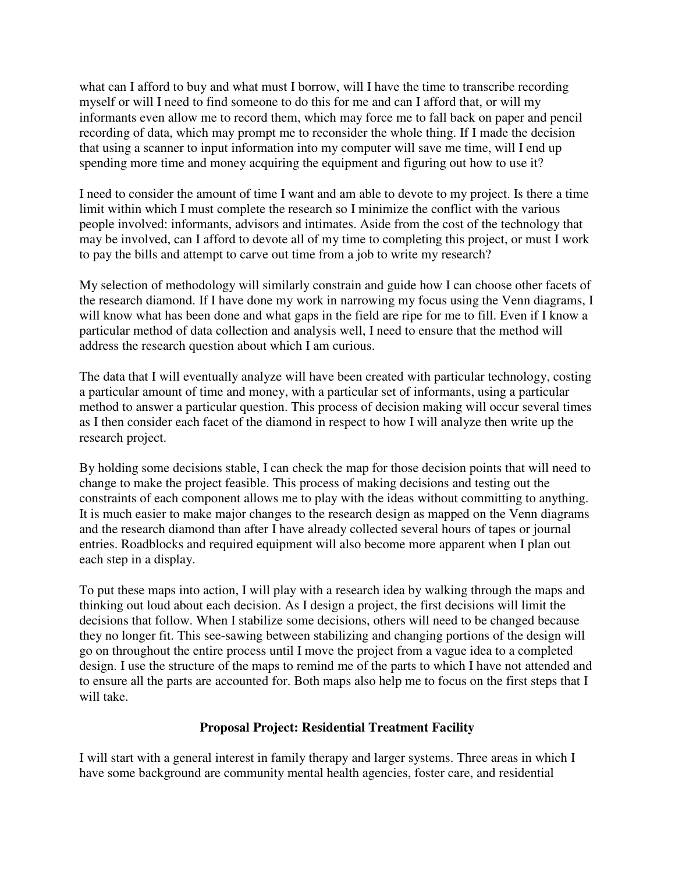what can I afford to buy and what must I borrow, will I have the time to transcribe recording myself or will I need to find someone to do this for me and can I afford that, or will my informants even allow me to record them, which may force me to fall back on paper and pencil recording of data, which may prompt me to reconsider the whole thing. If I made the decision that using a scanner to input information into my computer will save me time, will I end up spending more time and money acquiring the equipment and figuring out how to use it?

I need to consider the amount of time I want and am able to devote to my project. Is there a time limit within which I must complete the research so I minimize the conflict with the various people involved: informants, advisors and intimates. Aside from the cost of the technology that may be involved, can I afford to devote all of my time to completing this project, or must I work to pay the bills and attempt to carve out time from a job to write my research?

My selection of methodology will similarly constrain and guide how I can choose other facets of the research diamond. If I have done my work in narrowing my focus using the Venn diagrams, I will know what has been done and what gaps in the field are ripe for me to fill. Even if I know a particular method of data collection and analysis well, I need to ensure that the method will address the research question about which I am curious.

The data that I will eventually analyze will have been created with particular technology, costing a particular amount of time and money, with a particular set of informants, using a particular method to answer a particular question. This process of decision making will occur several times as I then consider each facet of the diamond in respect to how I will analyze then write up the research project.

By holding some decisions stable, I can check the map for those decision points that will need to change to make the project feasible. This process of making decisions and testing out the constraints of each component allows me to play with the ideas without committing to anything. It is much easier to make major changes to the research design as mapped on the Venn diagrams and the research diamond than after I have already collected several hours of tapes or journal entries. Roadblocks and required equipment will also become more apparent when I plan out each step in a display.

To put these maps into action, I will play with a research idea by walking through the maps and thinking out loud about each decision. As I design a project, the first decisions will limit the decisions that follow. When I stabilize some decisions, others will need to be changed because they no longer fit. This see-sawing between stabilizing and changing portions of the design will go on throughout the entire process until I move the project from a vague idea to a completed design. I use the structure of the maps to remind me of the parts to which I have not attended and to ensure all the parts are accounted for. Both maps also help me to focus on the first steps that I will take.

### **Proposal Project: Residential Treatment Facility**

I will start with a general interest in family therapy and larger systems. Three areas in which I have some background are community mental health agencies, foster care, and residential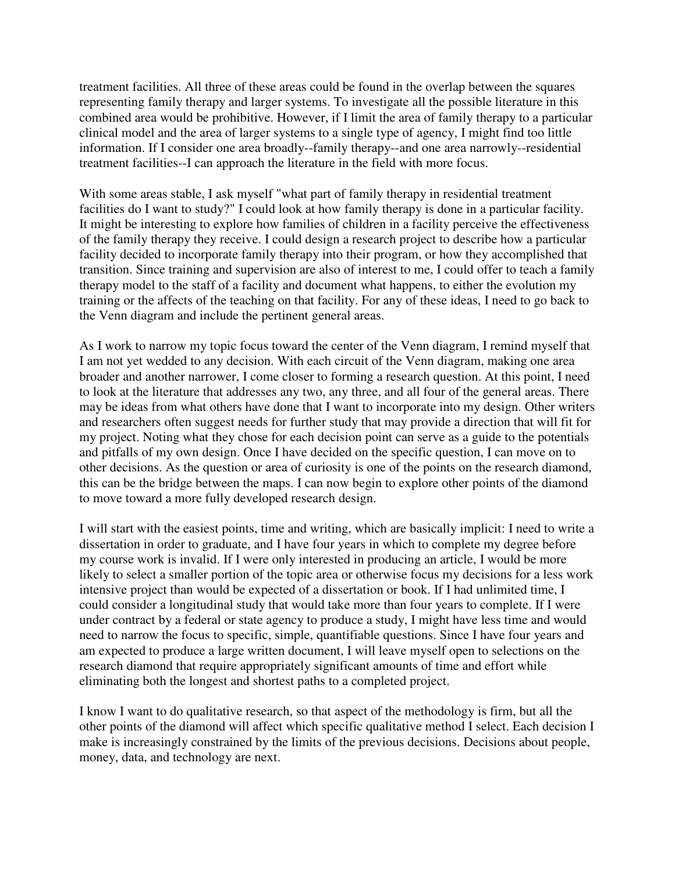treatment facilities. All three of these areas could be found in the overlap between the squares representing family therapy and larger systems. To investigate all the possible literature in this combined area would be prohibitive. However, if I limit the area of family therapy to a particular clinical model and the area of larger systems to a single type of agency, I might find too little information. If I consider one area broadly--family therapy--and one area narrowly--residential treatment facilities--I can approach the literature in the field with more focus.

With some areas stable, I ask myself "what part of family therapy in residential treatment facilities do I want to study?" I could look at how family therapy is done in a particular facility. It might be interesting to explore how families of children in a facility perceive the effectiveness of the family therapy they receive. I could design a research project to describe how a particular facility decided to incorporate family therapy into their program, or how they accomplished that transition. Since training and supervision are also of interest to me, I could offer to teach a family therapy model to the staff of a facility and document what happens, to either the evolution my training or the affects of the teaching on that facility. For any of these ideas, I need to go back to the Venn diagram and include the pertinent general areas.

As I work to narrow my topic focus toward the center of the Venn diagram, I remind myself that I am not yet wedded to any decision. With each circuit of the Venn diagram, making one area broader and another narrower, I come closer to forming a research question. At this point, I need to look at the literature that addresses any two, any three, and all four of the general areas. There may be ideas from what others have done that I want to incorporate into my design. Other writers and researchers often suggest needs for further study that may provide a direction that will fit for my project. Noting what they chose for each decision point can serve as a guide to the potentials and pitfalls of my own design. Once I have decided on the specific question, I can move on to other decisions. As the question or area of curiosity is one of the points on the research diamond, this can be the bridge between the maps. I can now begin to explore other points of the diamond to move toward a more fully developed research design.

I will start with the easiest points, time and writing, which are basically implicit: I need to write a dissertation in order to graduate, and I have four years in which to complete my degree before my course work is invalid. If I were only interested in producing an article, I would be more likely to select a smaller portion of the topic area or otherwise focus my decisions for a less work intensive project than would be expected of a dissertation or book. If I had unlimited time, I could consider a longitudinal study that would take more than four years to complete. If I were under contract by a federal or state agency to produce a study, I might have less time and would need to narrow the focus to specific, simple, quantifiable questions. Since I have four years and am expected to produce a large written document, I will leave myself open to selections on the research diamond that require appropriately significant amounts of time and effort while eliminating both the longest and shortest paths to a completed project.

I know I want to do qualitative research, so that aspect of the methodology is firm, but all the other points of the diamond will affect which specific qualitative method I select. Each decision I make is increasingly constrained by the limits of the previous decisions. Decisions about people, money, data, and technology are next.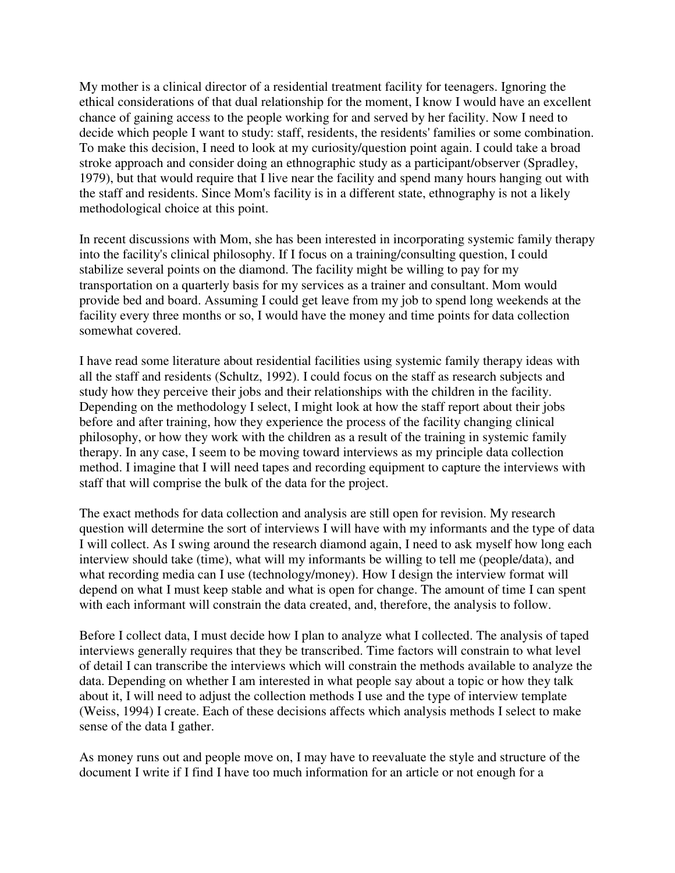My mother is a clinical director of a residential treatment facility for teenagers. Ignoring the ethical considerations of that dual relationship for the moment, I know I would have an excellent chance of gaining access to the people working for and served by her facility. Now I need to decide which people I want to study: staff, residents, the residents' families or some combination. To make this decision, I need to look at my curiosity/question point again. I could take a broad stroke approach and consider doing an ethnographic study as a participant/observer (Spradley, 1979), but that would require that I live near the facility and spend many hours hanging out with the staff and residents. Since Mom's facility is in a different state, ethnography is not a likely methodological choice at this point.

In recent discussions with Mom, she has been interested in incorporating systemic family therapy into the facility's clinical philosophy. If I focus on a training/consulting question, I could stabilize several points on the diamond. The facility might be willing to pay for my transportation on a quarterly basis for my services as a trainer and consultant. Mom would provide bed and board. Assuming I could get leave from my job to spend long weekends at the facility every three months or so, I would have the money and time points for data collection somewhat covered.

I have read some literature about residential facilities using systemic family therapy ideas with all the staff and residents (Schultz, 1992). I could focus on the staff as research subjects and study how they perceive their jobs and their relationships with the children in the facility. Depending on the methodology I select, I might look at how the staff report about their jobs before and after training, how they experience the process of the facility changing clinical philosophy, or how they work with the children as a result of the training in systemic family therapy. In any case, I seem to be moving toward interviews as my principle data collection method. I imagine that I will need tapes and recording equipment to capture the interviews with staff that will comprise the bulk of the data for the project.

The exact methods for data collection and analysis are still open for revision. My research question will determine the sort of interviews I will have with my informants and the type of data I will collect. As I swing around the research diamond again, I need to ask myself how long each interview should take (time), what will my informants be willing to tell me (people/data), and what recording media can I use (technology/money). How I design the interview format will depend on what I must keep stable and what is open for change. The amount of time I can spent with each informant will constrain the data created, and, therefore, the analysis to follow.

Before I collect data, I must decide how I plan to analyze what I collected. The analysis of taped interviews generally requires that they be transcribed. Time factors will constrain to what level of detail I can transcribe the interviews which will constrain the methods available to analyze the data. Depending on whether I am interested in what people say about a topic or how they talk about it, I will need to adjust the collection methods I use and the type of interview template (Weiss, 1994) I create. Each of these decisions affects which analysis methods I select to make sense of the data I gather.

As money runs out and people move on, I may have to reevaluate the style and structure of the document I write if I find I have too much information for an article or not enough for a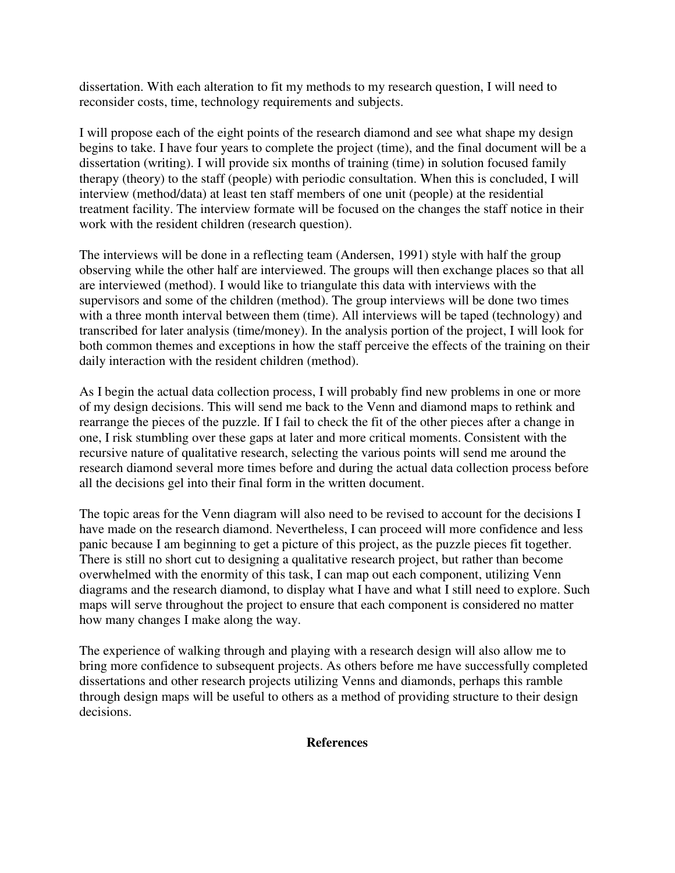dissertation. With each alteration to fit my methods to my research question, I will need to reconsider costs, time, technology requirements and subjects.

I will propose each of the eight points of the research diamond and see what shape my design begins to take. I have four years to complete the project (time), and the final document will be a dissertation (writing). I will provide six months of training (time) in solution focused family therapy (theory) to the staff (people) with periodic consultation. When this is concluded, I will interview (method/data) at least ten staff members of one unit (people) at the residential treatment facility. The interview formate will be focused on the changes the staff notice in their work with the resident children (research question).

The interviews will be done in a reflecting team (Andersen, 1991) style with half the group observing while the other half are interviewed. The groups will then exchange places so that all are interviewed (method). I would like to triangulate this data with interviews with the supervisors and some of the children (method). The group interviews will be done two times with a three month interval between them (time). All interviews will be taped (technology) and transcribed for later analysis (time/money). In the analysis portion of the project, I will look for both common themes and exceptions in how the staff perceive the effects of the training on their daily interaction with the resident children (method).

As I begin the actual data collection process, I will probably find new problems in one or more of my design decisions. This will send me back to the Venn and diamond maps to rethink and rearrange the pieces of the puzzle. If I fail to check the fit of the other pieces after a change in one, I risk stumbling over these gaps at later and more critical moments. Consistent with the recursive nature of qualitative research, selecting the various points will send me around the research diamond several more times before and during the actual data collection process before all the decisions gel into their final form in the written document.

The topic areas for the Venn diagram will also need to be revised to account for the decisions I have made on the research diamond. Nevertheless, I can proceed will more confidence and less panic because I am beginning to get a picture of this project, as the puzzle pieces fit together. There is still no short cut to designing a qualitative research project, but rather than become overwhelmed with the enormity of this task, I can map out each component, utilizing Venn diagrams and the research diamond, to display what I have and what I still need to explore. Such maps will serve throughout the project to ensure that each component is considered no matter how many changes I make along the way.

The experience of walking through and playing with a research design will also allow me to bring more confidence to subsequent projects. As others before me have successfully completed dissertations and other research projects utilizing Venns and diamonds, perhaps this ramble through design maps will be useful to others as a method of providing structure to their design decisions.

#### **References**